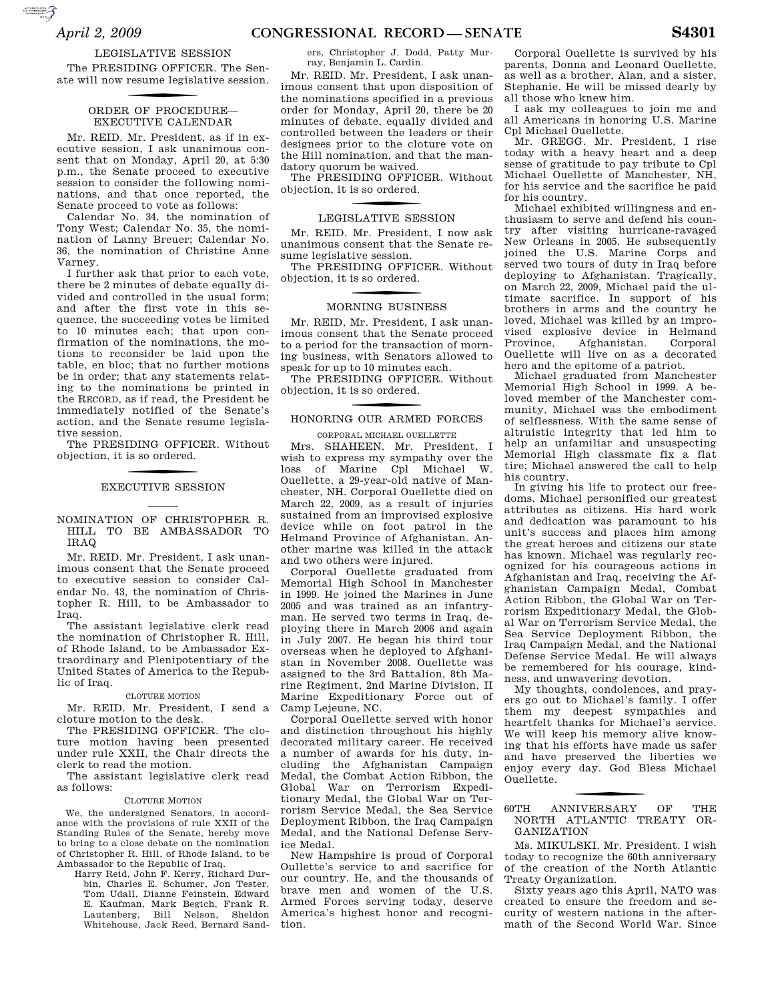$\sum_{\text{cyc}}$ 

#### LEGISLATIVE SESSION

The PRESIDING OFFICER. The Senate will now resume legislative session.

### ORDER OF PROCEDURE-EXECUTIVE CALENDAR

Mr. REID. Mr. President, as if in executive session, I ask unanimous consent that on Monday, April 20, at 5:30 p.m., the Senate proceed to executive session to consider the following nominations, and that once reported, the Senate proceed to vote as follows:

Calendar No. 34, the nomination of Tony West; Calendar No. 35, the nomination of Lanny Breuer; Calendar No. 36, the nomination of Christine Anne Varney.

I further ask that prior to each vote, there be 2 minutes of debate equally divided and controlled in the usual form; and after the first vote in this sequence, the succeeding votes be limited to 10 minutes each; that upon confirmation of the nominations, the motions to reconsider be laid upon the table, en bloc; that no further motions be in order; that any statements relating to the nominations be printed in the RECORD, as if read, the President be immediately notified of the Senate's action, and the Senate resume legislative session.

The PRESIDING OFFICER. Without objection, it is so ordered.

# f EXECUTIVE SESSION

NOMINATION OF CHRISTOPHER R. HILL TO BE AMBASSADOR TO IRAQ

Mr. REID. Mr. President, I ask unanimous consent that the Senate proceed to executive session to consider Calendar No. 43, the nomination of Christopher R. Hill, to be Ambassador to Iraq.

The assistant legislative clerk read the nomination of Christopher R. Hill, of Rhode Island, to be Ambassador Extraordinary and Plenipotentiary of the United States of America to the Republic of Iraq.

#### CLOTURE MOTION

Mr. REID. Mr. President, I send a cloture motion to the desk.

The PRESIDING OFFICER. The cloture motion having been presented under rule XXII, the Chair directs the clerk to read the motion.

The assistant legislative clerk read as follows:

#### CLOTURE MOTION

We, the undersigned Senators, in accordance with the provisions of rule XXII of the Standing Rules of the Senate, hereby move to bring to a close debate on the nomination of Christopher R. Hill, of Rhode Island, to be Ambassador to the Republic of Iraq.

Harry Reid, John F. Kerry, Richard Durbin, Charles E. Schumer, Jon Tester, Tom Udall, Dianne Feinstein, Edward E. Kaufman, Mark Begich, Frank R. Lautenberg, Bill Nelson, Sheldon Whitehouse, Jack Reed, Bernard Sanders, Christopher J. Dodd, Patty Murray, Benjamin L. Cardin.

Mr. REID. Mr. President, I ask unanimous consent that upon disposition of the nominations specified in a previous order for Monday, April 20, there be 20 minutes of debate, equally divided and controlled between the leaders or their designees prior to the cloture vote on the Hill nomination, and that the mandatory quorum be waived.

The PRESIDING OFFICER. Without objection, it is so ordered.

### f LEGISLATIVE SESSION

Mr. REID. Mr. President, I now ask unanimous consent that the Senate resume legislative session.

The PRESIDING OFFICER. Without objection, it is so ordered.

## f MORNING BUSINESS

Mr. REID, Mr. President, I ask unanimous consent that the Senate proceed to a period for the transaction of morning business, with Senators allowed to speak for up to 10 minutes each.

The PRESIDING OFFICER. Without objection, it is so ordered.

## f HONORING OUR ARMED FORCES

CORPORAL MICHAEL OUELLETTE Mrs. SHAHEEN. Mr. President, I wish to express my sympathy over the loss of Marine Cpl Michael W. Ouellette, a 29-year-old native of Manchester, NH. Corporal Ouellette died on March 22, 2009, as a result of injuries sustained from an improvised explosive device while on foot patrol in the Helmand Province of Afghanistan. Another marine was killed in the attack and two others were injured.

Corporal Ouellette graduated from Memorial High School in Manchester in 1999. He joined the Marines in June 2005 and was trained as an infantryman. He served two terms in Iraq, deploying there in March 2006 and again in July 2007. He began his third tour overseas when he deployed to Afghanistan in November 2008. Ouellette was assigned to the 3rd Battalion, 8th Marine Regiment, 2nd Marine Division, II Marine Expeditionary Force out of Camp Lejeune, NC.

Corporal Ouellette served with honor and distinction throughout his highly decorated military career. He received a number of awards for his duty, including the Afghanistan Campaign Medal, the Combat Action Ribbon, the Global War on Terrorism Expeditionary Medal, the Global War on Terrorism Service Medal, the Sea Service Deployment Ribbon, the Iraq Campaign Medal, and the National Defense Service Medal.

New Hampshire is proud of Corporal Oullette's service to and sacrifice for our country. He, and the thousands of brave men and women of the U.S. Armed Forces serving today, deserve America's highest honor and recognition.

Corporal Ouellette is survived by his parents, Donna and Leonard Ouellette, as well as a brother, Alan, and a sister, Stephanie. He will be missed dearly by all those who knew him.

I ask my colleagues to join me and all Americans in honoring U.S. Marine Cpl Michael Ouellette.

Mr. GREGG. Mr. President, I rise today with a heavy heart and a deep sense of gratitude to pay tribute to Cpl Michael Ouellette of Manchester, NH, for his service and the sacrifice he paid for his country.

Michael exhibited willingness and enthusiasm to serve and defend his country after visiting hurricane-ravaged New Orleans in 2005. He subsequently joined the U.S. Marine Corps and served two tours of duty in Iraq before deploying to Afghanistan. Tragically, on March 22, 2009, Michael paid the ultimate sacrifice. In support of his brothers in arms and the country he loved, Michael was killed by an improvised explosive device in Helmand Province, Afghanistan. Corporal Ouellette will live on as a decorated hero and the epitome of a patriot.

Michael graduated from Manchester Memorial High School in 1999. A beloved member of the Manchester community, Michael was the embodiment of selflessness. With the same sense of altruistic integrity that led him to help an unfamiliar and unsuspecting Memorial High classmate fix a flat tire; Michael answered the call to help his country.

In giving his life to protect our freedoms, Michael personified our greatest attributes as citizens. His hard work and dedication was paramount to his unit's success and places him among the great heroes and citizens our state has known. Michael was regularly recognized for his courageous actions in Afghanistan and Iraq, receiving the Afghanistan Campaign Medal, Combat Action Ribbon, the Global War on Terrorism Expeditionary Medal, the Global War on Terrorism Service Medal, the Sea Service Deployment Ribbon, the Iraq Campaign Medal, and the National Defense Service Medal. He will always be remembered for his courage, kindness, and unwavering devotion.

My thoughts, condolences, and prayers go out to Michael's family. I offer them my deepest sympathies and heartfelt thanks for Michael's service. We will keep his memory alive knowing that his efforts have made us safer and have preserved the liberties we enjoy every day. God Bless Michael Ouellette.

#### 60TH ANNIVERSARY OF THE NORTH ATLANTIC TREATY OR-GANIZATION

Ms. MIKULSKI. Mr. President. I wish today to recognize the 60th anniversary of the creation of the North Atlantic Treaty Organization.

Sixty years ago this April, NATO was created to ensure the freedom and security of western nations in the aftermath of the Second World War. Since